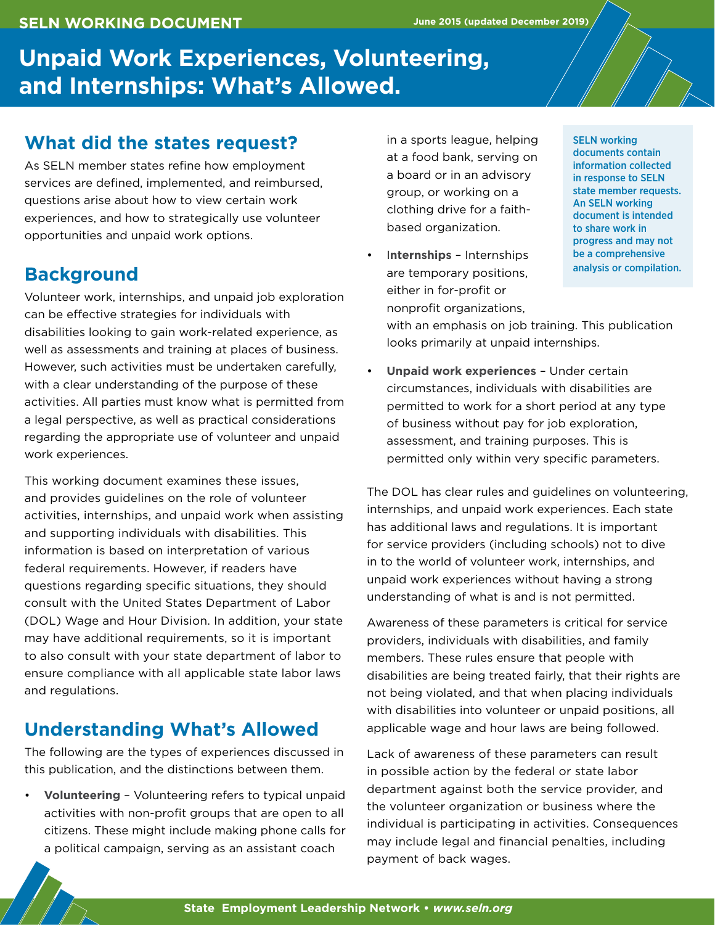#### **SELN WORKING DOCUMENT**

# **Unpaid Work Experiences, Volunteering, and Internships: What's Allowed.**

### **What did the states request?**

As SELN member states refine how employment services are defined, implemented, and reimbursed, questions arise about how to view certain work experiences, and how to strategically use volunteer opportunities and unpaid work options.

## **Background**

Volunteer work, internships, and unpaid job exploration can be effective strategies for individuals with disabilities looking to gain work-related experience, as well as assessments and training at places of business. However, such activities must be undertaken carefully, with a clear understanding of the purpose of these activities. All parties must know what is permitted from a legal perspective, as well as practical considerations regarding the appropriate use of volunteer and unpaid work experiences.

This working document examines these issues, and provides guidelines on the role of volunteer activities, internships, and unpaid work when assisting and supporting individuals with disabilities. This information is based on interpretation of various federal requirements. However, if readers have questions regarding specific situations, they should consult with the United States Department of Labor (DOL) Wage and Hour Division. In addition, your state may have additional requirements, so it is important to also consult with your state department of labor to ensure compliance with all applicable state labor laws and regulations.

## **Understanding What's Allowed**

The following are the types of experiences discussed in this publication, and the distinctions between them.

• **Volunteering** – Volunteering refers to typical unpaid activities with non-profit groups that are open to all citizens. These might include making phone calls for a political campaign, serving as an assistant coach

in a sports league, helping at a food bank, serving on a board or in an advisory group, or working on a clothing drive for a faithbased organization.

• I**nternships** – Internships are temporary positions, either in for-profit or nonprofit organizations,

SELN working documents contain information collected in response to SELN state member requests. An SELN working document is intended to share work in progress and may not be a comprehensive analysis or compilation.

with an emphasis on job training. This publication looks primarily at unpaid internships.

• **Unpaid work experiences** – Under certain circumstances, individuals with disabilities are permitted to work for a short period at any type of business without pay for job exploration, assessment, and training purposes. This is permitted only within very specific parameters.

The DOL has clear rules and guidelines on volunteering, internships, and unpaid work experiences. Each state has additional laws and regulations. It is important for service providers (including schools) not to dive in to the world of volunteer work, internships, and unpaid work experiences without having a strong understanding of what is and is not permitted.

Awareness of these parameters is critical for service providers, individuals with disabilities, and family members. These rules ensure that people with disabilities are being treated fairly, that their rights are not being violated, and that when placing individuals with disabilities into volunteer or unpaid positions, all applicable wage and hour laws are being followed.

Lack of awareness of these parameters can result in possible action by the federal or state labor department against both the service provider, and the volunteer organization or business where the individual is participating in activities. Consequences may include legal and financial penalties, including payment of back wages.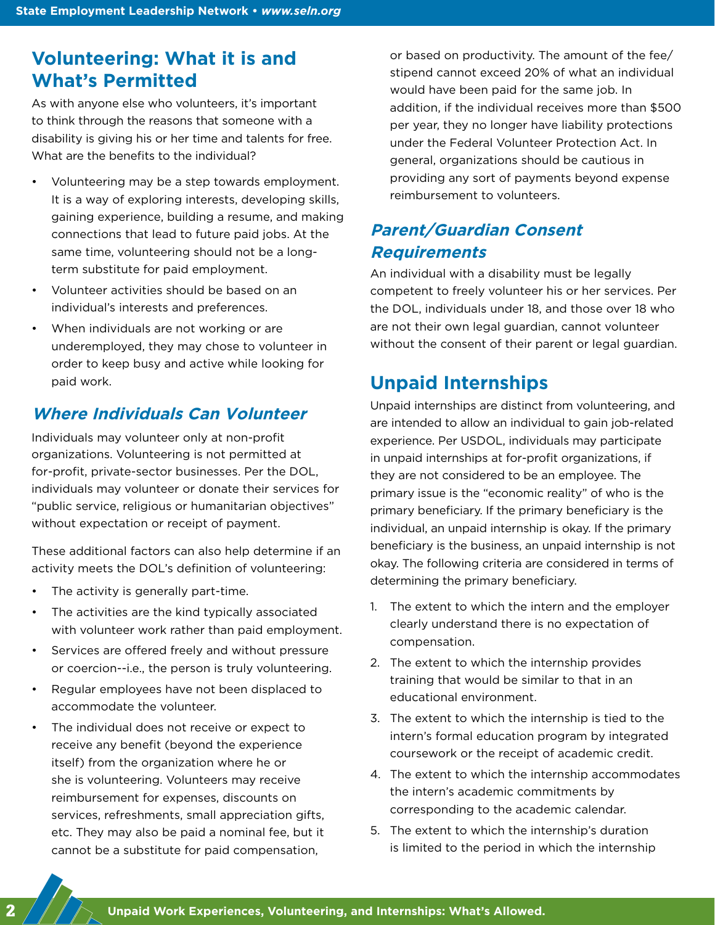# **Volunteering: What it is and What's Permitted**

As with anyone else who volunteers, it's important to think through the reasons that someone with a disability is giving his or her time and talents for free. What are the benefits to the individual?

- Volunteering may be a step towards employment. It is a way of exploring interests, developing skills, gaining experience, building a resume, and making connections that lead to future paid jobs. At the same time, volunteering should not be a longterm substitute for paid employment.
- Volunteer activities should be based on an individual's interests and preferences.
- When individuals are not working or are underemployed, they may chose to volunteer in order to keep busy and active while looking for paid work.

### **Where Individuals Can Volunteer**

Individuals may volunteer only at non-profit organizations. Volunteering is not permitted at for-profit, private-sector businesses. Per the DOL, individuals may volunteer or donate their services for "public service, religious or humanitarian objectives" without expectation or receipt of payment.

These additional factors can also help determine if an activity meets the DOL's definition of volunteering:

- The activity is generally part-time.
- The activities are the kind typically associated with volunteer work rather than paid employment.
- Services are offered freely and without pressure or coercion--i.e., the person is truly volunteering.
- Regular employees have not been displaced to accommodate the volunteer.
- The individual does not receive or expect to receive any benefit (beyond the experience itself) from the organization where he or she is volunteering. Volunteers may receive reimbursement for expenses, discounts on services, refreshments, small appreciation gifts, etc. They may also be paid a nominal fee, but it cannot be a substitute for paid compensation,

or based on productivity. The amount of the fee/ stipend cannot exceed 20% of what an individual would have been paid for the same job. In addition, if the individual receives more than \$500 per year, they no longer have liability protections under the Federal Volunteer Protection Act. In general, organizations should be cautious in providing any sort of payments beyond expense reimbursement to volunteers.

## **Parent/Guardian Consent Requirements**

An individual with a disability must be legally competent to freely volunteer his or her services. Per the DOL, individuals under 18, and those over 18 who are not their own legal guardian, cannot volunteer without the consent of their parent or legal guardian.

# **Unpaid Internships**

Unpaid internships are distinct from volunteering, and are intended to allow an individual to gain job-related experience. Per USDOL, individuals may participate in unpaid internships at for-profit organizations, if they are not considered to be an employee. The primary issue is the "economic reality" of who is the primary beneficiary. If the primary beneficiary is the individual, an unpaid internship is okay. If the primary beneficiary is the business, an unpaid internship is not okay. The following criteria are considered in terms of determining the primary beneficiary.

- 1. The extent to which the intern and the employer clearly understand there is no expectation of compensation.
- 2. The extent to which the internship provides training that would be similar to that in an educational environment.
- 3. The extent to which the internship is tied to the intern's formal education program by integrated coursework or the receipt of academic credit.
- 4. The extent to which the internship accommodates the intern's academic commitments by corresponding to the academic calendar.
- 5. The extent to which the internship's duration is limited to the period in which the internship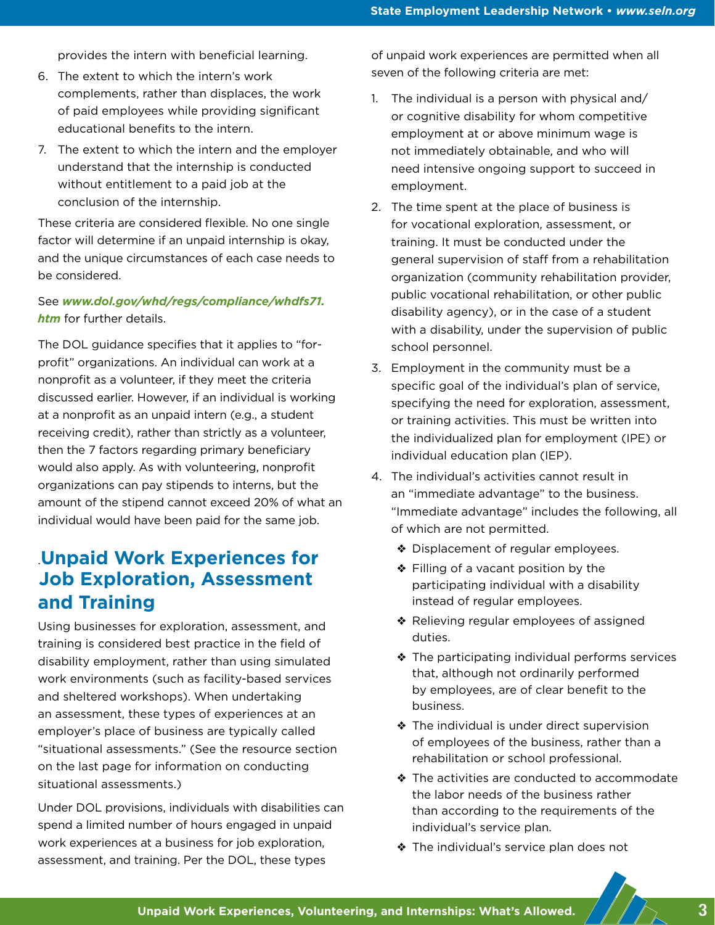provides the intern with beneficial learning.

- 6. The extent to which the intern's work complements, rather than displaces, the work of paid employees while providing significant educational benefits to the intern.
- 7. The extent to which the intern and the employer understand that the internship is conducted without entitlement to a paid job at the conclusion of the internship.

These criteria are considered flexible. No one single factor will determine if an unpaid internship is okay, and the unique circumstances of each case needs to be considered.

#### See *[www.dol.gov/whd/regs/compliance/whdfs71.](http://www.dol.gov/whd/regs/compliance/whdfs71.htm) [htm](http://www.dol.gov/whd/regs/compliance/whdfs71.htm)* for further details.

The DOL guidance specifies that it applies to "forprofit" organizations. An individual can work at a nonprofit as a volunteer, if they meet the criteria discussed earlier. However, if an individual is working at a nonprofit as an unpaid intern (e.g., a student receiving credit), rather than strictly as a volunteer, then the 7 factors regarding primary beneficiary would also apply. As with volunteering, nonprofit organizations can pay stipends to interns, but the amount of the stipend cannot exceed 20% of what an individual would have been paid for the same job.

# .**Unpaid Work Experiences for Job Exploration, Assessment and Training**

Using businesses for exploration, assessment, and training is considered best practice in the field of disability employment, rather than using simulated work environments (such as facility-based services and sheltered workshops). When undertaking an assessment, these types of experiences at an employer's place of business are typically called "situational assessments." (See the resource section on the last page for information on conducting situational assessments.)

Under DOL provisions, individuals with disabilities can spend a limited number of hours engaged in unpaid work experiences at a business for job exploration, assessment, and training. Per the DOL, these types

of unpaid work experiences are permitted when all seven of the following criteria are met:

- 1. The individual is a person with physical and/ or cognitive disability for whom competitive employment at or above minimum wage is not immediately obtainable, and who will need intensive ongoing support to succeed in employment.
- 2. The time spent at the place of business is for vocational exploration, assessment, or training. It must be conducted under the general supervision of staff from a rehabilitation organization (community rehabilitation provider, public vocational rehabilitation, or other public disability agency), or in the case of a student with a disability, under the supervision of public school personnel.
- 3. Employment in the community must be a specific goal of the individual's plan of service, specifying the need for exploration, assessment, or training activities. This must be written into the individualized plan for employment (IPE) or individual education plan (IEP).
- 4. The individual's activities cannot result in an "immediate advantage" to the business. "Immediate advantage" includes the following, all of which are not permitted.
	- ❖ Displacement of regular employees.
	- ❖ Filling of a vacant position by the participating individual with a disability instead of regular employees.
	- ❖ Relieving regular employees of assigned duties.
	- ❖ The participating individual performs services that, although not ordinarily performed by employees, are of clear benefit to the business.
	- ❖ The individual is under direct supervision of employees of the business, rather than a rehabilitation or school professional.
	- ❖ The activities are conducted to accommodate the labor needs of the business rather than according to the requirements of the individual's service plan.
	- ❖ The individual's service plan does not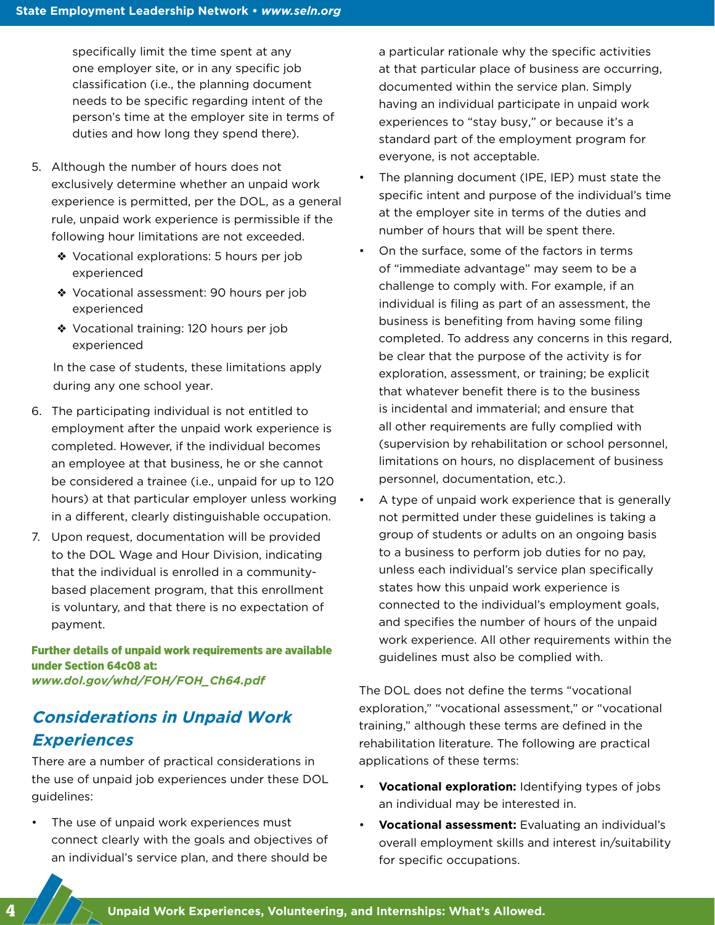specifically limit the time spent at any one employer site, or in any specific job classification (i.e., the planning document needs to be specific regarding intent of the person's time at the employer site in terms of duties and how long they spend there).

- 5. Although the number of hours does not exclusively determine whether an unpaid work experience is permitted, per the DOL, as a general rule, unpaid work experience is permissible if the following hour limitations are not exceeded.
	- ❖ Vocational explorations: 5 hours per job experienced
	- ❖ Vocational assessment: 90 hours per job experienced
	- ❖ Vocational training: 120 hours per job experienced

In the case of students, these limitations apply during any one school year.

- 6. The participating individual is not entitled to employment after the unpaid work experience is completed. However, if the individual becomes an employee at that business, he or she cannot be considered a trainee (i.e., unpaid for up to 120 hours) at that particular employer unless working in a different, clearly distinguishable occupation.
- 7. Upon request, documentation will be provided to the DOL Wage and Hour Division, indicating that the individual is enrolled in a communitybased placement program, that this enrollment is voluntary, and that there is no expectation of payment.

Further details of unpaid work requirements are available under Section 64c08 at: *[www.dol.gov/whd/FOH/FOH\\_Ch64.pdf](http://www.dol.gov/whd/FOH/FOH_Ch64.pdf)*

## **Considerations in Unpaid Work Experiences**

There are a number of practical considerations in the use of unpaid job experiences under these DOL guidelines:

The use of unpaid work experiences must connect clearly with the goals and objectives of an individual's service plan, and there should be a particular rationale why the specific activities at that particular place of business are occurring, documented within the service plan. Simply having an individual participate in unpaid work experiences to "stay busy," or because it's a standard part of the employment program for everyone, is not acceptable.

- The planning document (IPE, IEP) must state the specific intent and purpose of the individual's time at the employer site in terms of the duties and number of hours that will be spent there.
- On the surface, some of the factors in terms of "immediate advantage" may seem to be a challenge to comply with. For example, if an individual is filing as part of an assessment, the business is benefiting from having some filing completed. To address any concerns in this regard, be clear that the purpose of the activity is for exploration, assessment, or training; be explicit that whatever benefit there is to the business is incidental and immaterial; and ensure that all other requirements are fully complied with (supervision by rehabilitation or school personnel, limitations on hours, no displacement of business personnel, documentation, etc.).
- A type of unpaid work experience that is generally not permitted under these guidelines is taking a group of students or adults on an ongoing basis to a business to perform job duties for no pay, unless each individual's service plan specifically states how this unpaid work experience is connected to the individual's employment goals, and specifies the number of hours of the unpaid work experience. All other requirements within the guidelines must also be complied with.

The DOL does not define the terms "vocational exploration," "vocational assessment," or "vocational training," although these terms are defined in the rehabilitation literature. The following are practical applications of these terms:

- **Vocational exploration:** Identifying types of jobs an individual may be interested in.
- **Vocational assessment:** Evaluating an individual's overall employment skills and interest in/suitability for specific occupations.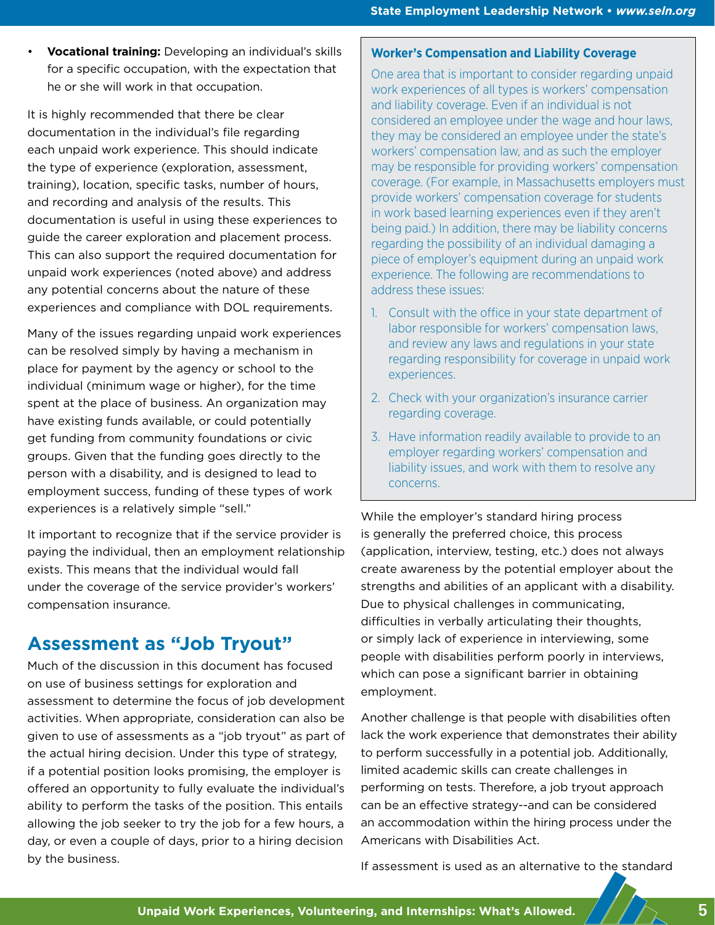• **Vocational training:** Developing an individual's skills for a specific occupation, with the expectation that he or she will work in that occupation.

It is highly recommended that there be clear documentation in the individual's file regarding each unpaid work experience. This should indicate the type of experience (exploration, assessment, training), location, specific tasks, number of hours, and recording and analysis of the results. This documentation is useful in using these experiences to guide the career exploration and placement process. This can also support the required documentation for unpaid work experiences (noted above) and address any potential concerns about the nature of these experiences and compliance with DOL requirements.

Many of the issues regarding unpaid work experiences can be resolved simply by having a mechanism in place for payment by the agency or school to the individual (minimum wage or higher), for the time spent at the place of business. An organization may have existing funds available, or could potentially get funding from community foundations or civic groups. Given that the funding goes directly to the person with a disability, and is designed to lead to employment success, funding of these types of work experiences is a relatively simple "sell."

It important to recognize that if the service provider is paying the individual, then an employment relationship exists. This means that the individual would fall under the coverage of the service provider's workers' compensation insurance.

# **Assessment as "Job Tryout"**

Much of the discussion in this document has focused on use of business settings for exploration and assessment to determine the focus of job development activities. When appropriate, consideration can also be given to use of assessments as a "job tryout" as part of the actual hiring decision. Under this type of strategy, if a potential position looks promising, the employer is offered an opportunity to fully evaluate the individual's ability to perform the tasks of the position. This entails allowing the job seeker to try the job for a few hours, a day, or even a couple of days, prior to a hiring decision by the business.

#### **Worker's Compensation and Liability Coverage**

One area that is important to consider regarding unpaid work experiences of all types is workers' compensation and liability coverage. Even if an individual is not considered an employee under the wage and hour laws, they may be considered an employee under the state's workers' compensation law, and as such the employer may be responsible for providing workers' compensation coverage. (For example, in Massachusetts employers must provide workers' compensation coverage for students in work based learning experiences even if they aren't being paid.) In addition, there may be liability concerns regarding the possibility of an individual damaging a piece of employer's equipment during an unpaid work experience. The following are recommendations to address these issues:

- 1. Consult with the office in your state department of labor responsible for workers' compensation laws, and review any laws and regulations in your state regarding responsibility for coverage in unpaid work experiences.
- 2. Check with your organization's insurance carrier regarding coverage.
- 3. Have information readily available to provide to an employer regarding workers' compensation and liability issues, and work with them to resolve any concerns.

While the employer's standard hiring process is generally the preferred choice, this process (application, interview, testing, etc.) does not always create awareness by the potential employer about the strengths and abilities of an applicant with a disability. Due to physical challenges in communicating, difficulties in verbally articulating their thoughts, or simply lack of experience in interviewing, some people with disabilities perform poorly in interviews, which can pose a significant barrier in obtaining employment.

Another challenge is that people with disabilities often lack the work experience that demonstrates their ability to perform successfully in a potential job. Additionally, limited academic skills can create challenges in performing on tests. Therefore, a job tryout approach can be an effective strategy--and can be considered an accommodation within the hiring process under the Americans with Disabilities Act.

If assessment is used as an alternative to the standard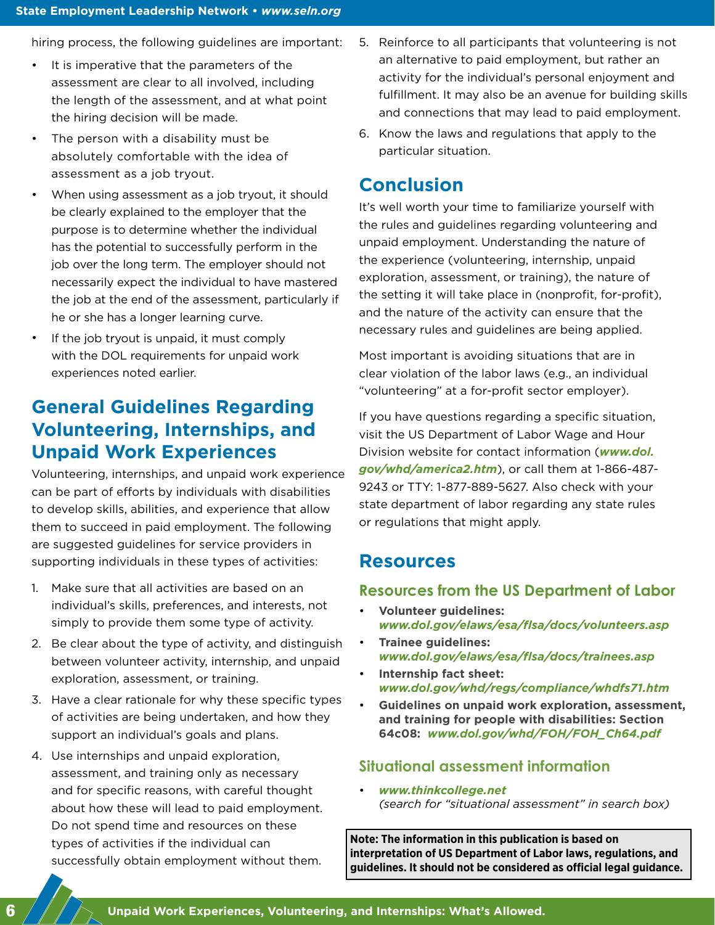hiring process, the following guidelines are important:

- It is imperative that the parameters of the assessment are clear to all involved, including the length of the assessment, and at what point the hiring decision will be made.
- The person with a disability must be absolutely comfortable with the idea of assessment as a job tryout.
- When using assessment as a job tryout, it should be clearly explained to the employer that the purpose is to determine whether the individual has the potential to successfully perform in the job over the long term. The employer should not necessarily expect the individual to have mastered the job at the end of the assessment, particularly if he or she has a longer learning curve.
- If the job tryout is unpaid, it must comply with the DOL requirements for unpaid work experiences noted earlier.

# **General Guidelines Regarding Volunteering, Internships, and Unpaid Work Experiences**

Volunteering, internships, and unpaid work experience can be part of efforts by individuals with disabilities to develop skills, abilities, and experience that allow them to succeed in paid employment. The following are suggested guidelines for service providers in supporting individuals in these types of activities:

- 1. Make sure that all activities are based on an individual's skills, preferences, and interests, not simply to provide them some type of activity.
- 2. Be clear about the type of activity, and distinguish between volunteer activity, internship, and unpaid exploration, assessment, or training.
- 3. Have a clear rationale for why these specific types of activities are being undertaken, and how they support an individual's goals and plans.
- 4. Use internships and unpaid exploration, assessment, and training only as necessary and for specific reasons, with careful thought about how these will lead to paid employment. Do not spend time and resources on these types of activities if the individual can successfully obtain employment without them.
- 5. Reinforce to all participants that volunteering is not an alternative to paid employment, but rather an activity for the individual's personal enjoyment and fulfillment. It may also be an avenue for building skills and connections that may lead to paid employment.
- 6. Know the laws and regulations that apply to the particular situation.

### **Conclusion**

It's well worth your time to familiarize yourself with the rules and guidelines regarding volunteering and unpaid employment. Understanding the nature of the experience (volunteering, internship, unpaid exploration, assessment, or training), the nature of the setting it will take place in (nonprofit, for-profit), and the nature of the activity can ensure that the necessary rules and guidelines are being applied.

Most important is avoiding situations that are in clear violation of the labor laws (e.g., an individual "volunteering" at a for-profit sector employer).

If you have questions regarding a specific situation, visit the US Department of Labor Wage and Hour Division website for contact information (*[www.dol.](http://www.dol.gov/whd/america2.htm) [gov/whd/america2.htm](http://www.dol.gov/whd/america2.htm)*), or call them at 1-866-487- 9243 or TTY: 1-877-889-5627. Also check with your state department of labor regarding any state rules or regulations that might apply.

#### **Resources**

#### **Resources from the US Department of Labor**

- **Volunteer guidelines:** *[www.dol.gov/elaws/esa/flsa/docs/volunteers.asp](http://www.dol.gov/elaws/esa/flsa/docs/volunteers.asp)*
- **Trainee guidelines:** *[www.dol.gov/elaws/esa/flsa/docs/trainees.asp](http://www.dol.gov/elaws/esa/flsa/docs/trainees.asp)*
- **Internship fact sheet:** *[www.dol.gov/whd/regs/compliance/whdfs71.htm](http://www.dol.gov/whd/regs/compliance/whdfs71.htm)*
- **Guidelines on unpaid work exploration, assessment, and training for people with disabilities: Section 64c08:** *[www.dol.gov/whd/FOH/FOH\\_Ch64.pdf](http://www.dol.gov/whd/FOH/FOH_Ch64.pdf)*

#### **Situational assessment information**

• *[www.thinkcollege.net](http://www.thinkcollege.net) (search for "situational assessment" in search box)*

**Note: The information in this publication is based on interpretation of US Department of Labor laws, regulations, and guidelines. It should not be considered as official legal guidance.**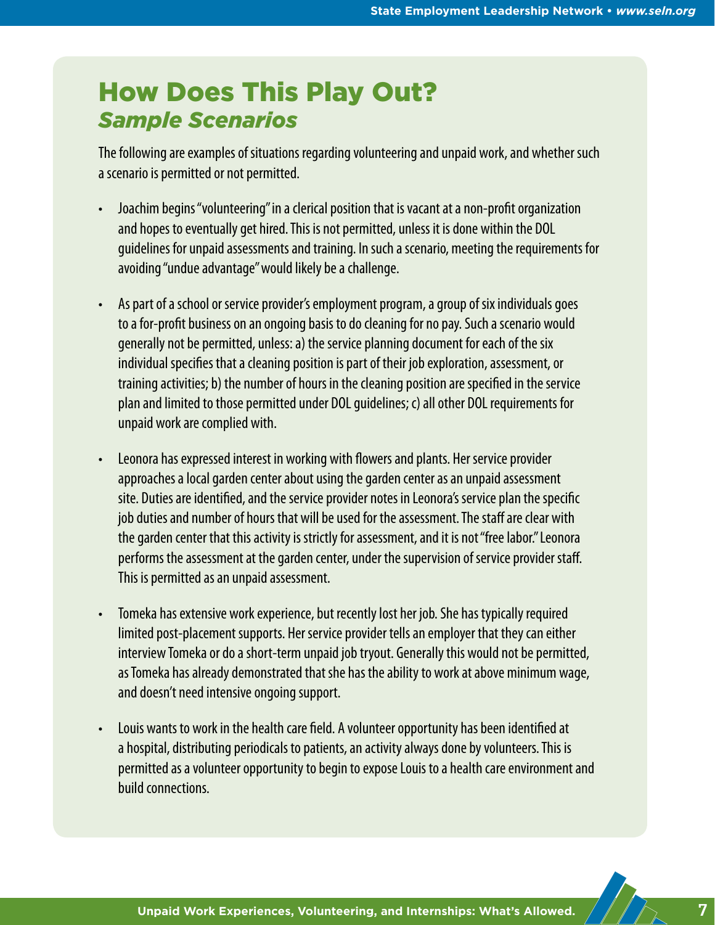# How Does This Play Out? *Sample Scenarios*

The following are examples of situations regarding volunteering and unpaid work, and whether such a scenario is permitted or not permitted.

- Joachim begins "volunteering" in a clerical position that is vacant at a non-profit organization and hopes to eventually get hired. This is not permitted, unless it is done within the DOL guidelines for unpaid assessments and training. In such a scenario, meeting the requirements for avoiding "undue advantage" would likely be a challenge.
- As part of a school or service provider's employment program, a group of six individuals goes to a for-profit business on an ongoing basis to do cleaning for no pay. Such a scenario would generally not be permitted, unless: a) the service planning document for each of the six individual specifies that a cleaning position is part of their job exploration, assessment, or training activities; b) the number of hours in the cleaning position are specified in the service plan and limited to those permitted under DOL guidelines; c) all other DOL requirements for unpaid work are complied with.
- Leonora has expressed interest in working with flowers and plants. Her service provider approaches a local garden center about using the garden center as an unpaid assessment site. Duties are identified, and the service provider notes in Leonora's service plan the specific job duties and number of hours that will be used for the assessment. The staff are clear with the garden center that this activity is strictly for assessment, and it is not "free labor." Leonora performs the assessment at the garden center, under the supervision of service provider staff. This is permitted as an unpaid assessment.
- Tomeka has extensive work experience, but recently lost her job. She has typically required limited post-placement supports. Her service provider tells an employer that they can either interview Tomeka or do a short-term unpaid job tryout. Generally this would not be permitted, as Tomeka has already demonstrated that she has the ability to work at above minimum wage, and doesn't need intensive ongoing support.
- Louis wants to work in the health care field. A volunteer opportunity has been identified at a hospital, distributing periodicals to patients, an activity always done by volunteers. This is permitted as a volunteer opportunity to begin to expose Louis to a health care environment and build connections.